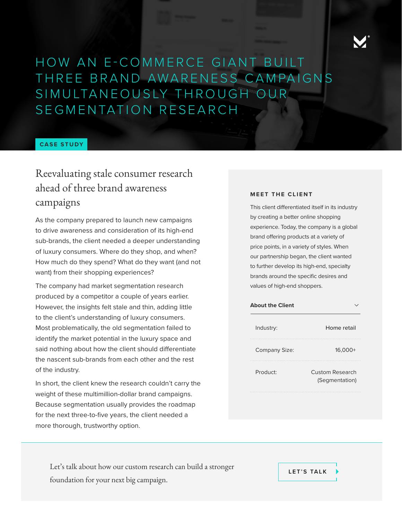

HOW AN E-COMMERCE GIANT BUILT THREE BRAND AWARENESS CAMPAIGNS SIMULTANEOUSLY THROUGH OUR SEGMENTATION RESEARCH

#### **CASE STUDY**

# Reevaluating stale consumer research ahead of three brand awareness campaigns

As the company prepared to launch new campaigns to drive awareness and consideration of its high-end sub-brands, the client needed a deeper understanding of luxury consumers. Where do they shop, and when? How much do they spend? What do they want (and not want) from their shopping experiences?

The company had market segmentation research produced by a competitor a couple of years earlier. However, the insights felt stale and thin, adding little to the client's understanding of luxury consumers. Most problematically, the old segmentation failed to identify the market potential in the luxury space and said nothing about how the client should differentiate the nascent sub-brands from each other and the rest of the industry.

In short, the client knew the research couldn't carry the weight of these multimillion-dollar brand campaigns. Because segmentation usually provides the roadmap for the next three-to-five years, the client needed a more thorough, trustworthy option.

#### **MEET THE CLIENT**

This client differentiated itself in its industry by creating a better online shopping experience. Today, the company is a global brand offering products at a variety of price points, in a variety of styles. When our partnership began, the client wanted to further develop its high-end, specialty brands around the specific desires and values of high-end shoppers.

| <b>About the Client</b> |                                          |
|-------------------------|------------------------------------------|
| Industry:               | Home retail                              |
| Company Size:           | 16,000+                                  |
| Product:                | <b>Custom Research</b><br>(Segmentation) |
|                         |                                          |

Let's talk about how our custom research can build a stronger foundation for your next big campaign.